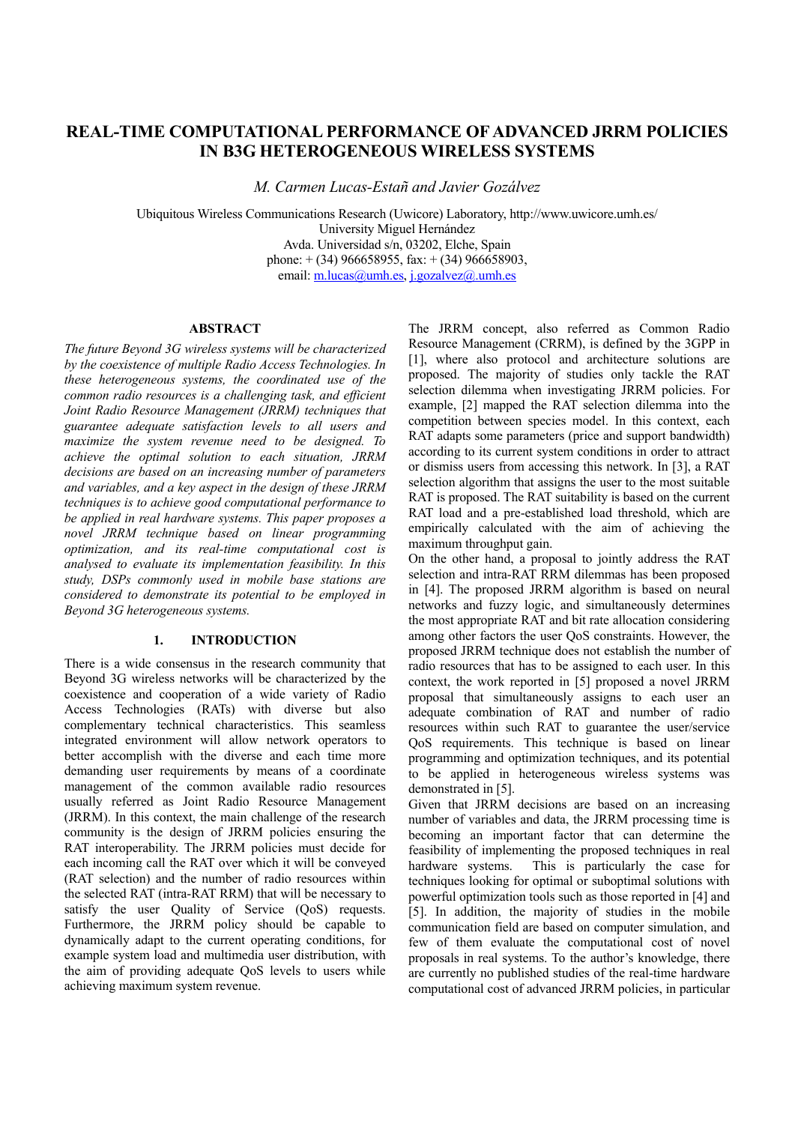# **REAL-TIME COMPUTATIONAL PERFORMANCE OF ADVANCED JRRM POLICIES IN B3G HETEROGENEOUS WIRELESS SYSTEMS**

*M. Carmen Lucas-Estañ and Javier Gozálvez* 

Ubiquitous Wireless Communications Research (Uwicore) Laboratory, http://www.uwicore.umh.es/ University Miguel Hernández Avda. Universidad s/n, 03202, Elche, Spain phone:  $+(34)$  966658955, fax:  $+(34)$  966658903, email: m.lucas@umh.es, j.gozalvez@.umh.es

# **ABSTRACT**

*The future Beyond 3G wireless systems will be characterized by the coexistence of multiple Radio Access Technologies. In these heterogeneous systems, the coordinated use of the common radio resources is a challenging task, and efficient Joint Radio Resource Management (JRRM) techniques that guarantee adequate satisfaction levels to all users and maximize the system revenue need to be designed. To achieve the optimal solution to each situation, JRRM decisions are based on an increasing number of parameters and variables, and a key aspect in the design of these JRRM techniques is to achieve good computational performance to be applied in real hardware systems. This paper proposes a novel JRRM technique based on linear programming optimization, and its real-time computational cost is analysed to evaluate its implementation feasibility. In this study, DSPs commonly used in mobile base stations are considered to demonstrate its potential to be employed in Beyond 3G heterogeneous systems.* 

#### **1. INTRODUCTION**

There is a wide consensus in the research community that Beyond 3G wireless networks will be characterized by the coexistence and cooperation of a wide variety of Radio Access Technologies (RATs) with diverse but also complementary technical characteristics. This seamless integrated environment will allow network operators to better accomplish with the diverse and each time more demanding user requirements by means of a coordinate management of the common available radio resources usually referred as Joint Radio Resource Management (JRRM). In this context, the main challenge of the research community is the design of JRRM policies ensuring the RAT interoperability. The JRRM policies must decide for each incoming call the RAT over which it will be conveyed (RAT selection) and the number of radio resources within the selected RAT (intra-RAT RRM) that will be necessary to satisfy the user Quality of Service (QoS) requests. Furthermore, the JRRM policy should be capable to dynamically adapt to the current operating conditions, for example system load and multimedia user distribution, with the aim of providing adequate QoS levels to users while achieving maximum system revenue.

The JRRM concept, also referred as Common Radio Resource Management (CRRM), is defined by the 3GPP in [1], where also protocol and architecture solutions are proposed. The majority of studies only tackle the RAT selection dilemma when investigating JRRM policies. For example, [2] mapped the RAT selection dilemma into the competition between species model. In this context, each RAT adapts some parameters (price and support bandwidth) according to its current system conditions in order to attract or dismiss users from accessing this network. In [3], a RAT selection algorithm that assigns the user to the most suitable RAT is proposed. The RAT suitability is based on the current RAT load and a pre-established load threshold, which are empirically calculated with the aim of achieving the maximum throughput gain.

On the other hand, a proposal to jointly address the RAT selection and intra-RAT RRM dilemmas has been proposed in [4]. The proposed JRRM algorithm is based on neural networks and fuzzy logic, and simultaneously determines the most appropriate RAT and bit rate allocation considering among other factors the user QoS constraints. However, the proposed JRRM technique does not establish the number of radio resources that has to be assigned to each user. In this context, the work reported in [5] proposed a novel JRRM proposal that simultaneously assigns to each user an adequate combination of RAT and number of radio resources within such RAT to guarantee the user/service QoS requirements. This technique is based on linear programming and optimization techniques, and its potential to be applied in heterogeneous wireless systems was demonstrated in [5].

Given that JRRM decisions are based on an increasing number of variables and data, the JRRM processing time is becoming an important factor that can determine the feasibility of implementing the proposed techniques in real hardware systems. This is particularly the case for techniques looking for optimal or suboptimal solutions with powerful optimization tools such as those reported in [4] and [5]. In addition, the majority of studies in the mobile communication field are based on computer simulation, and few of them evaluate the computational cost of novel proposals in real systems. To the author's knowledge, there are currently no published studies of the real-time hardware computational cost of advanced JRRM policies, in particular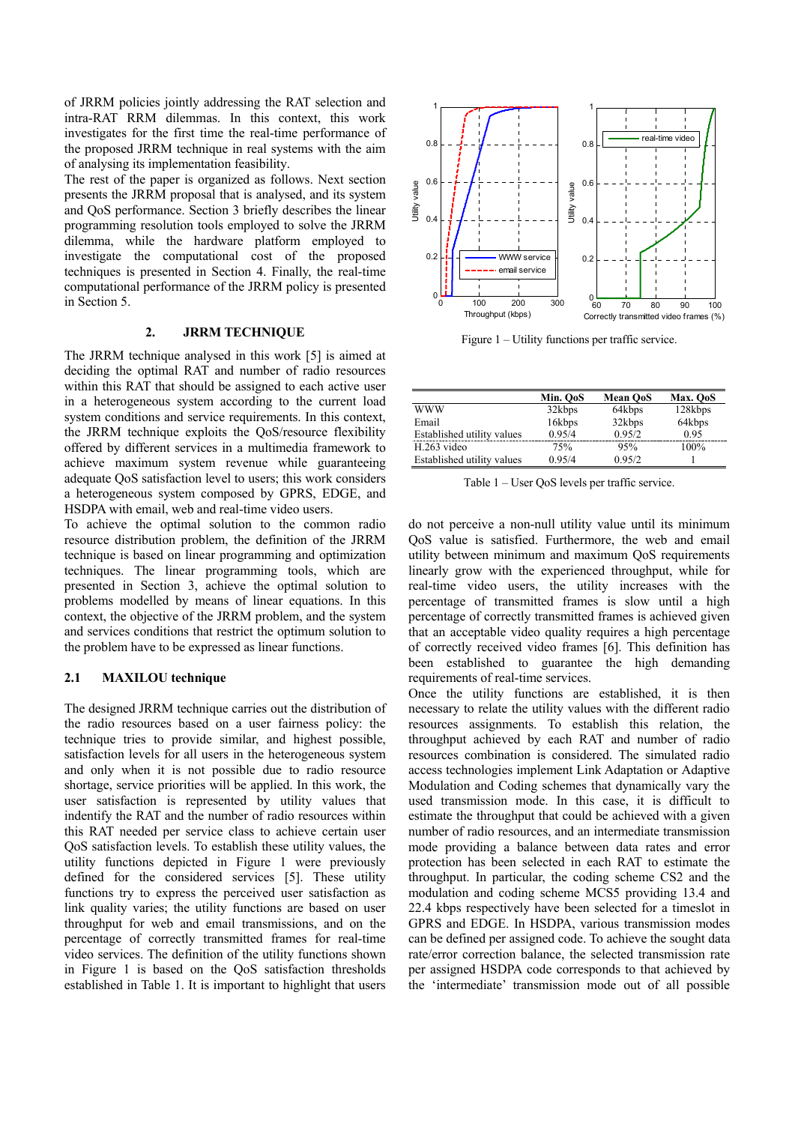of JRRM policies jointly addressing the RAT selection and intra-RAT RRM dilemmas. In this context, this work investigates for the first time the real-time performance of the proposed JRRM technique in real systems with the aim of analysing its implementation feasibility.

The rest of the paper is organized as follows. Next section presents the JRRM proposal that is analysed, and its system and QoS performance. Section 3 briefly describes the linear programming resolution tools employed to solve the JRRM dilemma, while the hardware platform employed to investigate the computational cost of the proposed techniques is presented in Section 4. Finally, the real-time computational performance of the JRRM policy is presented in Section 5.

## **2. JRRM TECHNIQUE**

The JRRM technique analysed in this work [5] is aimed at deciding the optimal RAT and number of radio resources within this RAT that should be assigned to each active user in a heterogeneous system according to the current load system conditions and service requirements. In this context, the JRRM technique exploits the QoS/resource flexibility offered by different services in a multimedia framework to achieve maximum system revenue while guaranteeing adequate QoS satisfaction level to users; this work considers a heterogeneous system composed by GPRS, EDGE, and HSDPA with email, web and real-time video users.

To achieve the optimal solution to the common radio resource distribution problem, the definition of the JRRM technique is based on linear programming and optimization techniques. The linear programming tools, which are presented in Section 3, achieve the optimal solution to problems modelled by means of linear equations. In this context, the objective of the JRRM problem, and the system and services conditions that restrict the optimum solution to the problem have to be expressed as linear functions.

# **2.1 MAXILOU technique**

The designed JRRM technique carries out the distribution of the radio resources based on a user fairness policy: the technique tries to provide similar, and highest possible, satisfaction levels for all users in the heterogeneous system and only when it is not possible due to radio resource shortage, service priorities will be applied. In this work, the user satisfaction is represented by utility values that indentify the RAT and the number of radio resources within this RAT needed per service class to achieve certain user QoS satisfaction levels. To establish these utility values, the utility functions depicted in Figure 1 were previously defined for the considered services [5]. These utility functions try to express the perceived user satisfaction as link quality varies; the utility functions are based on user throughput for web and email transmissions, and on the percentage of correctly transmitted frames for real-time video services. The definition of the utility functions shown in Figure 1 is based on the QoS satisfaction thresholds established in Table 1. It is important to highlight that users



Figure 1 – Utility functions per traffic service.

|                            | Min. OoS | Mean OoS | Max. QoS |
|----------------------------|----------|----------|----------|
| www                        | 32kbps   | 64kbps   | 128kbps  |
| Email                      | 16kbps   | 32kbps   | 64kbps   |
| Established utility values | 0.95/4   | 0.95/2   | 0.95     |
| H.263 video                | 75%      | 95%      | 100%     |
| Established utility values | 0.95/4   | 0.95/2   |          |

Table 1 – User QoS levels per traffic service.

do not perceive a non-null utility value until its minimum QoS value is satisfied. Furthermore, the web and email utility between minimum and maximum QoS requirements linearly grow with the experienced throughput, while for real-time video users, the utility increases with the percentage of transmitted frames is slow until a high percentage of correctly transmitted frames is achieved given that an acceptable video quality requires a high percentage of correctly received video frames [6]. This definition has been established to guarantee the high demanding requirements of real-time services.

Once the utility functions are established, it is then necessary to relate the utility values with the different radio resources assignments. To establish this relation, the throughput achieved by each RAT and number of radio resources combination is considered. The simulated radio access technologies implement Link Adaptation or Adaptive Modulation and Coding schemes that dynamically vary the used transmission mode. In this case, it is difficult to estimate the throughput that could be achieved with a given number of radio resources, and an intermediate transmission mode providing a balance between data rates and error protection has been selected in each RAT to estimate the throughput. In particular, the coding scheme CS2 and the modulation and coding scheme MCS5 providing 13.4 and 22.4 kbps respectively have been selected for a timeslot in GPRS and EDGE. In HSDPA, various transmission modes can be defined per assigned code. To achieve the sought data rate/error correction balance, the selected transmission rate per assigned HSDPA code corresponds to that achieved by the 'intermediate' transmission mode out of all possible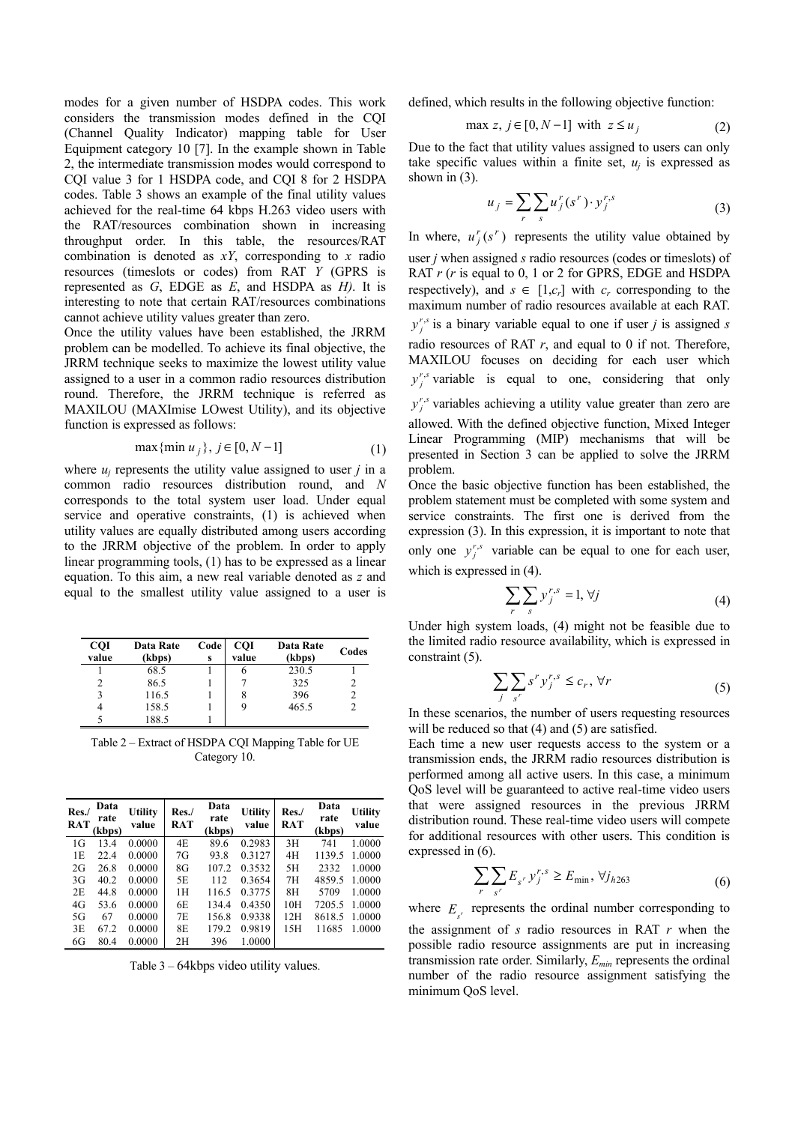modes for a given number of HSDPA codes. This work considers the transmission modes defined in the CQI (Channel Quality Indicator) mapping table for User Equipment category 10 [7]. In the example shown in Table 2, the intermediate transmission modes would correspond to CQI value 3 for 1 HSDPA code, and CQI 8 for 2 HSDPA codes. Table 3 shows an example of the final utility values achieved for the real-time 64 kbps H.263 video users with the RAT/resources combination shown in increasing throughput order. In this table, the resources/RAT combination is denoted as *xY*, corresponding to *x* radio resources (timeslots or codes) from RAT *Y* (GPRS is represented as *G*, EDGE as *E*, and HSDPA as *H)*. It is interesting to note that certain RAT/resources combinations cannot achieve utility values greater than zero.

Once the utility values have been established, the JRRM problem can be modelled. To achieve its final objective, the JRRM technique seeks to maximize the lowest utility value assigned to a user in a common radio resources distribution round. Therefore, the JRRM technique is referred as MAXILOU (MAXImise LOwest Utility), and its objective function is expressed as follows:

$$
\max{\min u_j}, j \in [0, N-1] \tag{1}
$$

where  $u_i$  represents the utility value assigned to user *j* in a common radio resources distribution round, and *N* corresponds to the total system user load. Under equal service and operative constraints, (1) is achieved when utility values are equally distributed among users according to the JRRM objective of the problem. In order to apply linear programming tools, (1) has to be expressed as a linear equation. To this aim, a new real variable denoted as *z* and equal to the smallest utility value assigned to a user is

| <b>COI</b><br>value | Data Rate<br>(kbps) | Code<br>S | <b>COI</b><br>value | Data Rate<br>(kbps) | Codes |
|---------------------|---------------------|-----------|---------------------|---------------------|-------|
|                     | 68.5                |           |                     | 230.5               |       |
| 2                   | 86.5                |           |                     | 325                 |       |
| 3                   | 116.5               |           | δ                   | 396                 |       |
|                     | 158.5               |           | 9                   | 465.5               |       |
|                     | 188.5               |           |                     |                     |       |

Table 2 – Extract of HSDPA CQI Mapping Table for UE Category 10.

| Res.<br><b>RAT</b> | Data<br>rate<br>(kbps) | <b>Utility</b><br>value | Res.<br><b>RAT</b> | Data<br>rate<br>(kbps) | <b>Utility</b><br>value | Res./<br>RAT | Data<br>rate<br>(kbps) | <b>Utility</b><br>value |
|--------------------|------------------------|-------------------------|--------------------|------------------------|-------------------------|--------------|------------------------|-------------------------|
| 1G                 | 13.4                   | 0.0000                  | 4E                 | 89.6                   | 0.2983                  | 3H           | 741                    | 1.0000                  |
| 1E                 | 22.4                   | 0.0000                  | 7G                 | 93.8                   | 0.3127                  | 4H           | 1139.5                 | 1.0000                  |
| 2G                 | 26.8                   | 0.0000                  | 8G                 | 107.2                  | 0.3532                  | 5H           | 2332                   | 1.0000                  |
| 3G                 | 40.2                   | 0.0000                  | 5E                 | 112                    | 0.3654                  | 7H           | 4859.5                 | 1.0000                  |
| 2E                 | 44.8                   | 0.0000                  | 1H                 | 116.5                  | 0.3775                  | 8H           | 5709                   | 1.0000                  |
| 4G                 | 53.6                   | 0.0000                  | 6E                 | 134.4                  | 0.4350                  | 10H          | 7205.5                 | 1.0000                  |
| 5G                 | 67                     | 0.0000                  | 7E                 | 156.8                  | 0.9338                  | 12H          | 8618.5                 | 1.0000                  |
| 3E                 | 67.2                   | 0.0000                  | 8E                 | 179.2                  | 0.9819                  | 15H          | 11685                  | 1.0000                  |
| 6G                 | 80.4                   | 0.0000                  | 2H                 | 396                    | 1.0000                  |              |                        |                         |

Table 3 – 64kbps video utility values.

defined, which results in the following objective function:

$$
\max z, j \in [0, N-1] \text{ with } z \le u_j \tag{2}
$$

Due to the fact that utility values assigned to users can only take specific values within a finite set,  $u_j$  is expressed as shown in (3).

$$
u_j = \sum_r \sum_s u'_j(s^r) \cdot y_j^{r,s} \tag{3}
$$

In where,  $u_j^r(s^r)$  represents the utility value obtained by user *j* when assigned *s* radio resources (codes or timeslots) of RAT *r* (*r* is equal to 0, 1 or 2 for GPRS, EDGE and HSDPA respectively), and  $s \in [1,c_r]$  with  $c_r$  corresponding to the maximum number of radio resources available at each RAT.  $y_j^{r,s}$  is a binary variable equal to one if user *j* is assigned *s* radio resources of RAT *r*, and equal to 0 if not. Therefore, MAXILOU focuses on deciding for each user which  $y_j^{r,s}$  variable is equal to one, considering that only  $y_j^{r,s}$  variables achieving a utility value greater than zero are allowed. With the defined objective function, Mixed Integer Linear Programming (MIP) mechanisms that will be presented in Section 3 can be applied to solve the JRRM

Once the basic objective function has been established, the problem statement must be completed with some system and service constraints. The first one is derived from the expression (3). In this expression, it is important to note that only one  $y_j^{r,s}$  variable can be equal to one for each user, which is expressed in (4).

problem.

$$
\sum_{r} \sum_{s} y_{j}^{r,s} = 1, \forall j \tag{4}
$$

Under high system loads, (4) might not be feasible due to the limited radio resource availability, which is expressed in constraint (5).

$$
\sum_{j} \sum_{s'} s^r y_j^{r,s} \le c_r, \forall r
$$
 (5)

In these scenarios, the number of users requesting resources will be reduced so that (4) and (5) are satisfied.

Each time a new user requests access to the system or a transmission ends, the JRRM radio resources distribution is performed among all active users. In this case, a minimum QoS level will be guaranteed to active real-time video users that were assigned resources in the previous JRRM distribution round. These real-time video users will compete for additional resources with other users. This condition is expressed in (6).

$$
\sum_{r} \sum_{s'} E_{s'} y'^{r,s'}_{j} \ge E_{\min}, \forall j_{h263}
$$
 (6)

where  $E_{\mu}$  represents the ordinal number corresponding to

the assignment of *s* radio resources in RAT *r* when the possible radio resource assignments are put in increasing transmission rate order. Similarly, *Emin* represents the ordinal number of the radio resource assignment satisfying the minimum QoS level.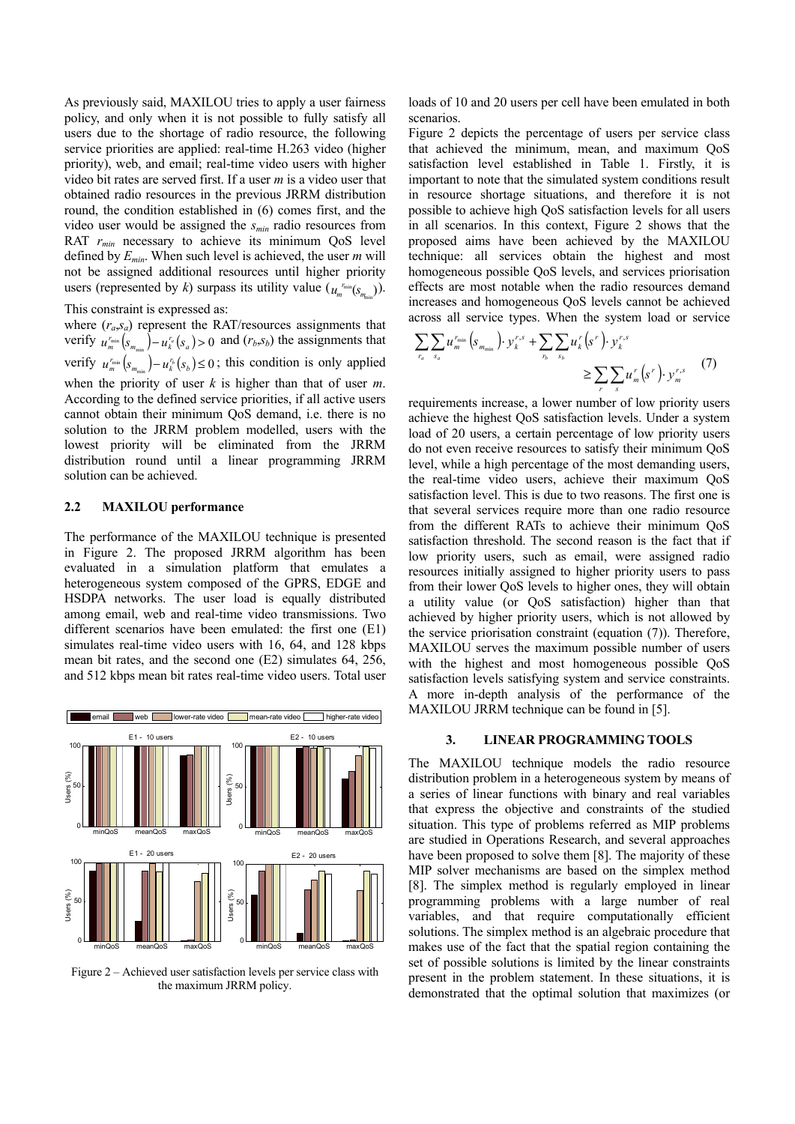As previously said, MAXILOU tries to apply a user fairness policy, and only when it is not possible to fully satisfy all users due to the shortage of radio resource, the following service priorities are applied: real-time H.263 video (higher priority), web, and email; real-time video users with higher video bit rates are served first. If a user *m* is a video user that obtained radio resources in the previous JRRM distribution round, the condition established in (6) comes first, and the video user would be assigned the *smin* radio resources from RAT  $r_{min}$  necessary to achieve its minimum QoS level defined by *Emin*. When such level is achieved, the user *m* will not be assigned additional resources until higher priority users (represented by *k*) surpass its utility value  $(u_m^{r_{min}}(s_{m_{min}}))$ .

This constraint is expressed as:

where  $(r_a, s_a)$  represent the RAT/resources assignments that verify  $u_m^{r_{\min}} \left( s_{m_{\min}} \right) - u_k^{r_a} \left( s_a \right) > 0$  and  $(r_b, s_b)$  the assignments that verify  $u_m^{r_{\min}} \left( s_{m_{\min}} \right) - u_k^{r_b} \left( s_b \right) \leq 0$ ; this condition is only applied when the priority of user *k* is higher than that of user *m*. According to the defined service priorities, if all active users cannot obtain their minimum QoS demand, i.e. there is no solution to the JRRM problem modelled, users with the lowest priority will be eliminated from the JRRM distribution round until a linear programming JRRM solution can be achieved.

## **2.2 MAXILOU performance**

The performance of the MAXILOU technique is presented in Figure 2. The proposed JRRM algorithm has been evaluated in a simulation platform that emulates a heterogeneous system composed of the GPRS, EDGE and HSDPA networks. The user load is equally distributed among email, web and real-time video transmissions. Two different scenarios have been emulated: the first one (E1) simulates real-time video users with 16, 64, and 128 kbps mean bit rates, and the second one (E2) simulates 64, 256, and 512 kbps mean bit rates real-time video users. Total user



Figure 2 – Achieved user satisfaction levels per service class with the maximum JRRM policy.

loads of 10 and 20 users per cell have been emulated in both scenarios.

Figure 2 depicts the percentage of users per service class that achieved the minimum, mean, and maximum QoS satisfaction level established in Table 1. Firstly, it is important to note that the simulated system conditions result in resource shortage situations, and therefore it is not possible to achieve high QoS satisfaction levels for all users in all scenarios. In this context, Figure 2 shows that the proposed aims have been achieved by the MAXILOU technique: all services obtain the highest and most homogeneous possible QoS levels, and services priorisation effects are most notable when the radio resources demand increases and homogeneous QoS levels cannot be achieved across all service types. When the system load or service

$$
\sum_{r_a} \sum_{s_a} u_{m}^{r_{\min}} \left( s_{m_{\min}} \right) \cdot y_{k}^{r,s} + \sum_{r_b} \sum_{s_b} u_{k}^{r} \left( s^{r} \right) \cdot y_{k}^{r,s} \ge \sum_{r} \sum_{s} u_{m}^{r} \left( s^{r} \right) \cdot y_{m}^{r,s} \tag{7}
$$

requirements increase, a lower number of low priority users achieve the highest QoS satisfaction levels. Under a system load of 20 users, a certain percentage of low priority users do not even receive resources to satisfy their minimum QoS level, while a high percentage of the most demanding users, the real-time video users, achieve their maximum QoS satisfaction level. This is due to two reasons. The first one is that several services require more than one radio resource from the different RATs to achieve their minimum QoS satisfaction threshold. The second reason is the fact that if low priority users, such as email, were assigned radio resources initially assigned to higher priority users to pass from their lower QoS levels to higher ones, they will obtain a utility value (or QoS satisfaction) higher than that achieved by higher priority users, which is not allowed by the service priorisation constraint (equation (7)). Therefore, MAXILOU serves the maximum possible number of users with the highest and most homogeneous possible QoS satisfaction levels satisfying system and service constraints. A more in-depth analysis of the performance of the MAXILOU JRRM technique can be found in [5].

## **3. LINEAR PROGRAMMING TOOLS**

The MAXILOU technique models the radio resource distribution problem in a heterogeneous system by means of a series of linear functions with binary and real variables that express the objective and constraints of the studied situation. This type of problems referred as MIP problems are studied in Operations Research, and several approaches have been proposed to solve them [8]. The majority of these MIP solver mechanisms are based on the simplex method [8]. The simplex method is regularly employed in linear programming problems with a large number of real variables, and that require computationally efficient solutions. The simplex method is an algebraic procedure that makes use of the fact that the spatial region containing the set of possible solutions is limited by the linear constraints present in the problem statement. In these situations, it is demonstrated that the optimal solution that maximizes (or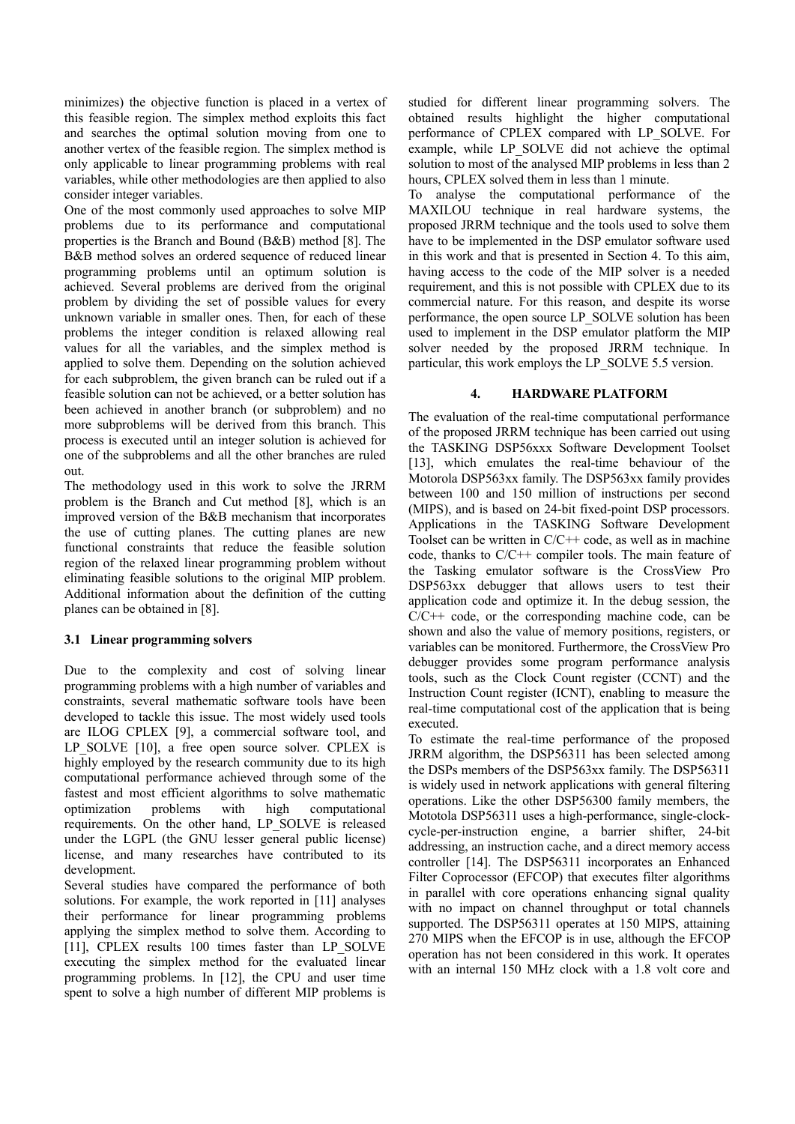minimizes) the objective function is placed in a vertex of this feasible region. The simplex method exploits this fact and searches the optimal solution moving from one to another vertex of the feasible region. The simplex method is only applicable to linear programming problems with real variables, while other methodologies are then applied to also consider integer variables.

One of the most commonly used approaches to solve MIP problems due to its performance and computational properties is the Branch and Bound (B&B) method [8]. The B&B method solves an ordered sequence of reduced linear programming problems until an optimum solution is achieved. Several problems are derived from the original problem by dividing the set of possible values for every unknown variable in smaller ones. Then, for each of these problems the integer condition is relaxed allowing real values for all the variables, and the simplex method is applied to solve them. Depending on the solution achieved for each subproblem, the given branch can be ruled out if a feasible solution can not be achieved, or a better solution has been achieved in another branch (or subproblem) and no more subproblems will be derived from this branch. This process is executed until an integer solution is achieved for one of the subproblems and all the other branches are ruled out.

The methodology used in this work to solve the JRRM problem is the Branch and Cut method [8], which is an improved version of the B&B mechanism that incorporates the use of cutting planes. The cutting planes are new functional constraints that reduce the feasible solution region of the relaxed linear programming problem without eliminating feasible solutions to the original MIP problem. Additional information about the definition of the cutting planes can be obtained in [8].

# **3.1 Linear programming solvers**

Due to the complexity and cost of solving linear programming problems with a high number of variables and constraints, several mathematic software tools have been developed to tackle this issue. The most widely used tools are ILOG CPLEX [9], a commercial software tool, and LP SOLVE [10], a free open source solver. CPLEX is highly employed by the research community due to its high computational performance achieved through some of the fastest and most efficient algorithms to solve mathematic optimization problems with high computational requirements. On the other hand, LP\_SOLVE is released under the LGPL (the GNU lesser general public license) license, and many researches have contributed to its development.

Several studies have compared the performance of both solutions. For example, the work reported in [11] analyses their performance for linear programming problems applying the simplex method to solve them. According to [11], CPLEX results 100 times faster than LP SOLVE executing the simplex method for the evaluated linear programming problems. In [12], the CPU and user time spent to solve a high number of different MIP problems is studied for different linear programming solvers. The obtained results highlight the higher computational performance of CPLEX compared with LP\_SOLVE. For example, while LP\_SOLVE did not achieve the optimal solution to most of the analysed MIP problems in less than 2 hours, CPLEX solved them in less than 1 minute.

To analyse the computational performance of the MAXILOU technique in real hardware systems, the proposed JRRM technique and the tools used to solve them have to be implemented in the DSP emulator software used in this work and that is presented in Section 4. To this aim, having access to the code of the MIP solver is a needed requirement, and this is not possible with CPLEX due to its commercial nature. For this reason, and despite its worse performance, the open source LP\_SOLVE solution has been used to implement in the DSP emulator platform the MIP solver needed by the proposed JRRM technique. In particular, this work employs the LP\_SOLVE 5.5 version.

# **4. HARDWARE PLATFORM**

The evaluation of the real-time computational performance of the proposed JRRM technique has been carried out using the TASKING DSP56xxx Software Development Toolset [13], which emulates the real-time behaviour of the Motorola DSP563xx family. The DSP563xx family provides between 100 and 150 million of instructions per second (MIPS), and is based on 24-bit fixed-point DSP processors. Applications in the TASKING Software Development Toolset can be written in  $C/C++$  code, as well as in machine code, thanks to C/C++ compiler tools. The main feature of the Tasking emulator software is the CrossView Pro DSP563xx debugger that allows users to test their application code and optimize it. In the debug session, the  $C/C++$  code, or the corresponding machine code, can be shown and also the value of memory positions, registers, or variables can be monitored. Furthermore, the CrossView Pro debugger provides some program performance analysis tools, such as the Clock Count register (CCNT) and the Instruction Count register (ICNT), enabling to measure the real-time computational cost of the application that is being executed.

To estimate the real-time performance of the proposed JRRM algorithm, the DSP56311 has been selected among the DSPs members of the DSP563xx family. The DSP56311 is widely used in network applications with general filtering operations. Like the other DSP56300 family members, the Mototola DSP56311 uses a high-performance, single-clockcycle-per-instruction engine, a barrier shifter, 24-bit addressing, an instruction cache, and a direct memory access controller [14]. The DSP56311 incorporates an Enhanced Filter Coprocessor (EFCOP) that executes filter algorithms in parallel with core operations enhancing signal quality with no impact on channel throughput or total channels supported. The DSP56311 operates at 150 MIPS, attaining 270 MIPS when the EFCOP is in use, although the EFCOP operation has not been considered in this work. It operates with an internal 150 MHz clock with a 1.8 volt core and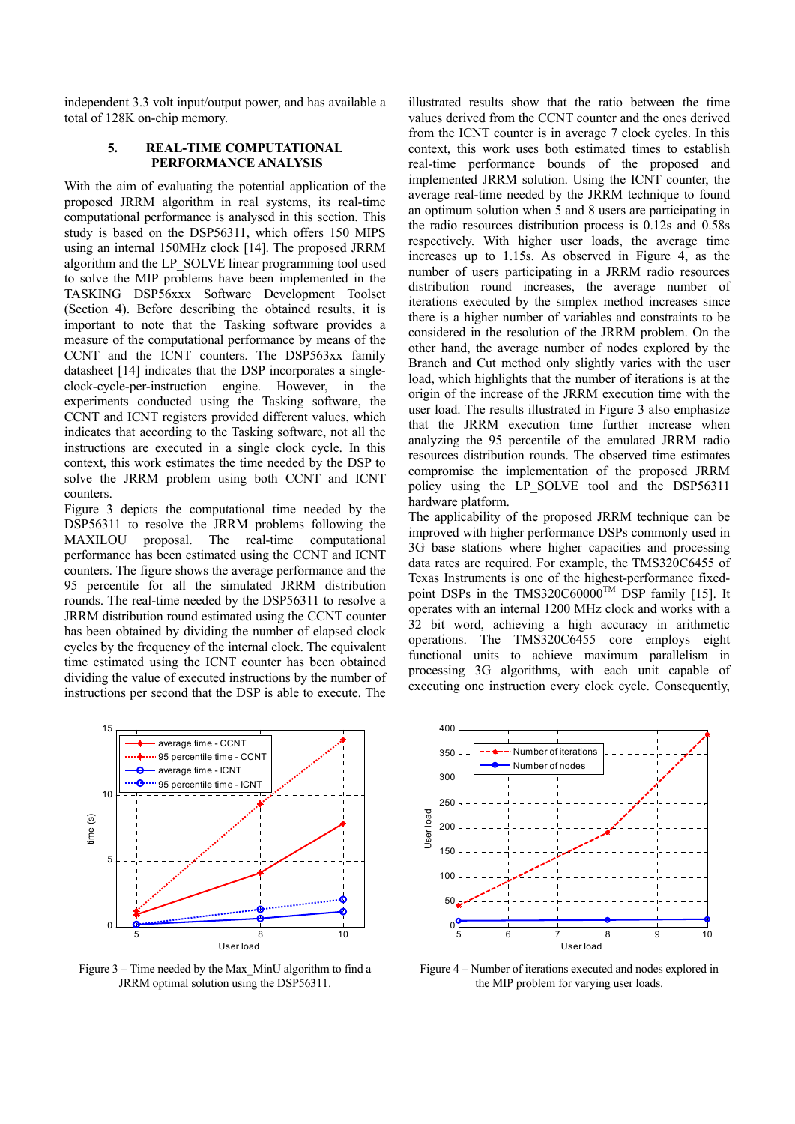independent 3.3 volt input/output power, and has available a total of 128K on-chip memory.

## **5. REAL-TIME COMPUTATIONAL PERFORMANCE ANALYSIS**

With the aim of evaluating the potential application of the proposed JRRM algorithm in real systems, its real-time computational performance is analysed in this section. This study is based on the DSP56311, which offers 150 MIPS using an internal 150MHz clock [14]. The proposed JRRM algorithm and the LP\_SOLVE linear programming tool used to solve the MIP problems have been implemented in the TASKING DSP56xxx Software Development Toolset (Section 4). Before describing the obtained results, it is important to note that the Tasking software provides a measure of the computational performance by means of the CCNT and the ICNT counters. The DSP563xx family datasheet [14] indicates that the DSP incorporates a singleclock-cycle-per-instruction engine. However, in the experiments conducted using the Tasking software, the CCNT and ICNT registers provided different values, which indicates that according to the Tasking software, not all the instructions are executed in a single clock cycle. In this context, this work estimates the time needed by the DSP to solve the JRRM problem using both CCNT and ICNT counters.

Figure 3 depicts the computational time needed by the DSP56311 to resolve the JRRM problems following the MAXILOU proposal. The real-time computational performance has been estimated using the CCNT and ICNT counters. The figure shows the average performance and the 95 percentile for all the simulated JRRM distribution rounds. The real-time needed by the DSP56311 to resolve a JRRM distribution round estimated using the CCNT counter has been obtained by dividing the number of elapsed clock cycles by the frequency of the internal clock. The equivalent time estimated using the ICNT counter has been obtained dividing the value of executed instructions by the number of instructions per second that the DSP is able to execute. The

illustrated results show that the ratio between the time values derived from the CCNT counter and the ones derived from the ICNT counter is in average 7 clock cycles. In this context, this work uses both estimated times to establish real-time performance bounds of the proposed and implemented JRRM solution. Using the ICNT counter, the average real-time needed by the JRRM technique to found an optimum solution when 5 and 8 users are participating in the radio resources distribution process is 0.12s and 0.58s respectively. With higher user loads, the average time increases up to 1.15s. As observed in Figure 4, as the number of users participating in a JRRM radio resources distribution round increases, the average number of iterations executed by the simplex method increases since there is a higher number of variables and constraints to be considered in the resolution of the JRRM problem. On the other hand, the average number of nodes explored by the Branch and Cut method only slightly varies with the user load, which highlights that the number of iterations is at the origin of the increase of the JRRM execution time with the user load. The results illustrated in Figure 3 also emphasize that the JRRM execution time further increase when analyzing the 95 percentile of the emulated JRRM radio resources distribution rounds. The observed time estimates compromise the implementation of the proposed JRRM policy using the LP\_SOLVE tool and the DSP56311 hardware platform.

The applicability of the proposed JRRM technique can be improved with higher performance DSPs commonly used in 3G base stations where higher capacities and processing data rates are required. For example, the TMS320C6455 of Texas Instruments is one of the highest-performance fixedpoint DSPs in the TMS320C60000<sup>TM</sup> DSP family [15]. It operates with an internal 1200 MHz clock and works with a 32 bit word, achieving a high accuracy in arithmetic operations. The TMS320C6455 core employs eight functional units to achieve maximum parallelism in processing 3G algorithms, with each unit capable of executing one instruction every clock cycle. Consequently,



Figure 3 – Time needed by the Max\_MinU algorithm to find a JRRM optimal solution using the DSP56311.



Figure 4 – Number of iterations executed and nodes explored in the MIP problem for varying user loads.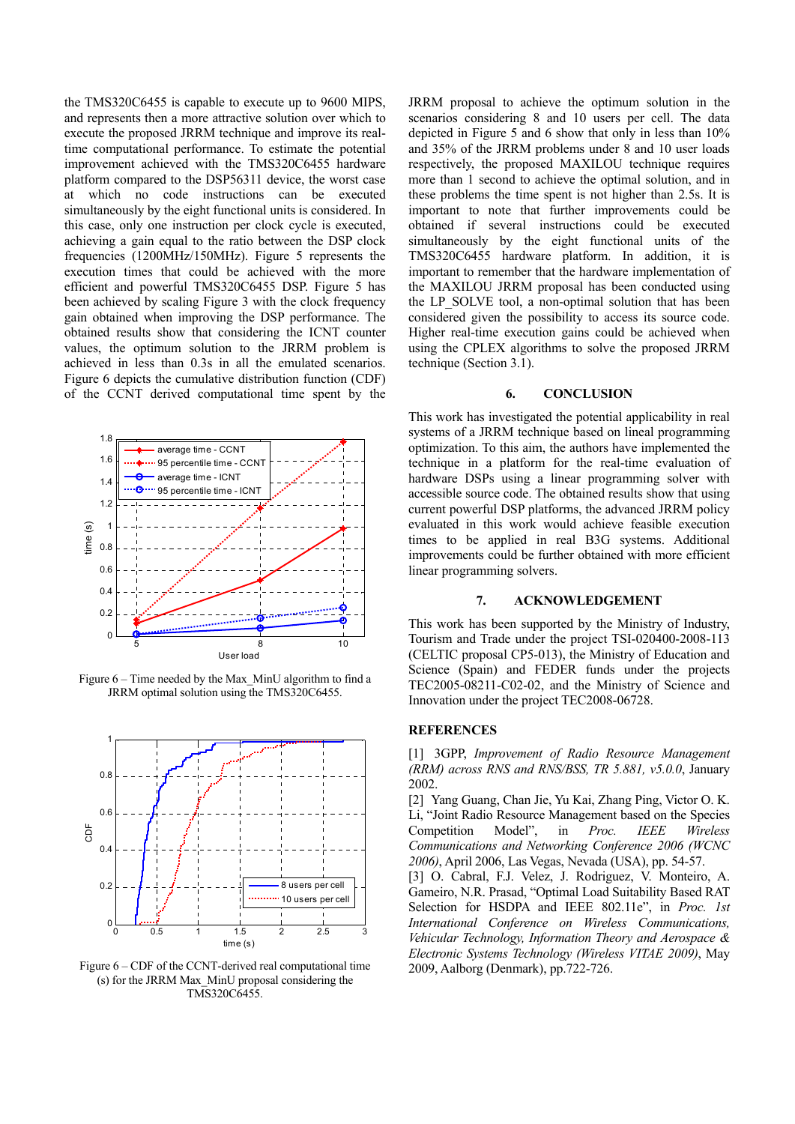the TMS320C6455 is capable to execute up to 9600 MIPS, and represents then a more attractive solution over which to execute the proposed JRRM technique and improve its realtime computational performance. To estimate the potential improvement achieved with the TMS320C6455 hardware platform compared to the DSP56311 device, the worst case at which no code instructions can be executed simultaneously by the eight functional units is considered. In this case, only one instruction per clock cycle is executed, achieving a gain equal to the ratio between the DSP clock frequencies (1200MHz/150MHz). Figure 5 represents the execution times that could be achieved with the more efficient and powerful TMS320C6455 DSP. Figure 5 has been achieved by scaling Figure 3 with the clock frequency gain obtained when improving the DSP performance. The obtained results show that considering the ICNT counter values, the optimum solution to the JRRM problem is achieved in less than 0.3s in all the emulated scenarios. Figure 6 depicts the cumulative distribution function (CDF) of the CCNT derived computational time spent by the



Figure 6 – Time needed by the Max\_MinU algorithm to find a JRRM optimal solution using the TMS320C6455.



Figure 6 – CDF of the CCNT-derived real computational time (s) for the JRRM Max\_MinU proposal considering the TMS320C6455.

JRRM proposal to achieve the optimum solution in the scenarios considering 8 and 10 users per cell. The data depicted in Figure 5 and 6 show that only in less than 10% and 35% of the JRRM problems under 8 and 10 user loads respectively, the proposed MAXILOU technique requires more than 1 second to achieve the optimal solution, and in these problems the time spent is not higher than 2.5s. It is important to note that further improvements could be obtained if several instructions could be executed simultaneously by the eight functional units of the TMS320C6455 hardware platform. In addition, it is important to remember that the hardware implementation of the MAXILOU JRRM proposal has been conducted using the LP\_SOLVE tool, a non-optimal solution that has been considered given the possibility to access its source code. Higher real-time execution gains could be achieved when using the CPLEX algorithms to solve the proposed JRRM technique (Section 3.1).

#### **6. CONCLUSION**

This work has investigated the potential applicability in real systems of a JRRM technique based on lineal programming optimization. To this aim, the authors have implemented the technique in a platform for the real-time evaluation of hardware DSPs using a linear programming solver with accessible source code. The obtained results show that using current powerful DSP platforms, the advanced JRRM policy evaluated in this work would achieve feasible execution times to be applied in real B3G systems. Additional improvements could be further obtained with more efficient linear programming solvers.

#### **7. ACKNOWLEDGEMENT**

This work has been supported by the Ministry of Industry, Tourism and Trade under the project TSI-020400-2008-113 (CELTIC proposal CP5-013), the Ministry of Education and Science (Spain) and FEDER funds under the projects TEC2005-08211-C02-02, and the Ministry of Science and Innovation under the project TEC2008-06728.

#### **REFERENCES**

[1] 3GPP, *Improvement of Radio Resource Management (RRM) across RNS and RNS/BSS, TR 5.881, v5.0.0*, January 2002.

[2] Yang Guang, Chan Jie, Yu Kai, Zhang Ping, Victor O. K. Li, "Joint Radio Resource Management based on the Species Competition Model", in *Proc. IEEE Wireless Communications and Networking Conference 2006 (WCNC 2006)*, April 2006, Las Vegas, Nevada (USA), pp. 54-57.

[3] O. Cabral, F.J. Velez, J. Rodriguez, V. Monteiro, A. Gameiro, N.R. Prasad, "Optimal Load Suitability Based RAT Selection for HSDPA and IEEE 802.11e", in *Proc. 1st International Conference on Wireless Communications, Vehicular Technology, Information Theory and Aerospace & Electronic Systems Technology (Wireless VITAE 2009)*, May 2009, Aalborg (Denmark), pp.722-726.